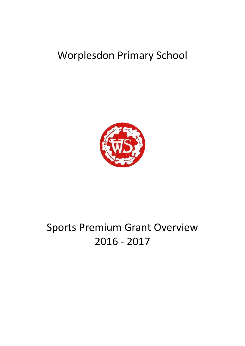## Worplesdon Primary School



# Sports Premium Grant Overview 2016 - 2017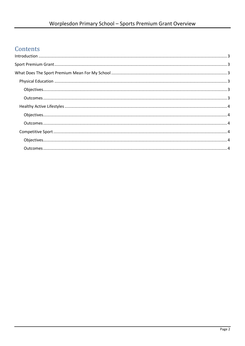### Contents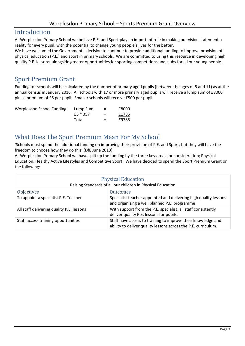#### <span id="page-2-0"></span>Introduction

At Worplesdon Primary School we believe P.E. and Sport play an important role in making our vision statement a reality for every pupil, with the potential to change young people's lives for the better.

We have welcomed the Government's decision to continue to provide additional funding to improve provision of physical education (P.E.) and sport in primary schools. We are committed to using this resource in developing high quality P.E. lessons, alongside greater opportunities for sporting competitions and clubs for all our young people.

#### <span id="page-2-1"></span>Sport Premium Grant

Funding for schools will be calculated by the number of primary aged pupils (between the ages of 5 and 11) as at the annual census in January 2016. All schools with 17 or more primary aged pupils will receive a lump sum of £8000 plus a premium of £5 per pupil. Smaller schools will receive £500 per pupil.

| Worplesdon School Funding: | Lump Sum   | $=$ | £8000 |
|----------------------------|------------|-----|-------|
|                            | £5 $*$ 357 | $=$ | £1785 |
|                            | Total      | $=$ | £9785 |

#### <span id="page-2-2"></span>What Does The Sport Premium Mean For My School

'Schools must spend the additional funding on improving their provision of P.E. and Sport, but they will have the freedom to choose how they do this' (DfE June 2013).

At Worplesdon Primary School we have split up the funding by the three key areas for consideration; Physical Education, Healthy Active Lifestyles and Competitive Sport. We have decided to spend the Sport Premium Grant on the following:

<span id="page-2-5"></span><span id="page-2-4"></span><span id="page-2-3"></span>

| <b>Physical Education</b><br>Raising Standards of all our children in Physical Education |                                                                                                                                |  |
|------------------------------------------------------------------------------------------|--------------------------------------------------------------------------------------------------------------------------------|--|
| <b>Objectives</b>                                                                        | <b>Outcomes</b>                                                                                                                |  |
| To appoint a specialist P.E. Teacher                                                     | Specialist teacher appointed and delivering high quality lessons<br>and organising a well planned P.E. programme               |  |
| All staff delivering quality P.E. lessons                                                | With support from the P.E. specialist, all staff consistently<br>deliver quality P.E. lessons for pupils.                      |  |
| Staff access training opportunities                                                      | Staff have access to training to improve their knowledge and<br>ability to deliver quality lessons across the P.E. curriculum. |  |